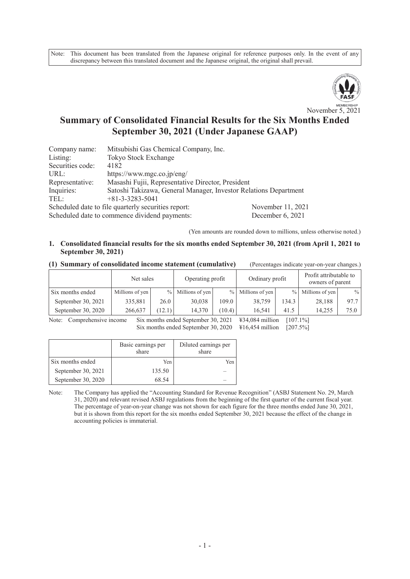Note: This document has been translated from the Japanese original for reference purposes only. In the event of any discrepancy between this translated document and the Japanese original, the original shall prevail.



# **Summary of Consolidated Financial Results for the Six Months Ended September 30, 2021 (Under Japanese GAAP)**

| Company name:    | Mitsubishi Gas Chemical Company, Inc.                            |                   |
|------------------|------------------------------------------------------------------|-------------------|
| Listing:         | Tokyo Stock Exchange                                             |                   |
| Securities code: | 4182                                                             |                   |
| URL:             | https://www.mgc.co.jp/eng/                                       |                   |
| Representative:  | Masashi Fujii, Representative Director, President                |                   |
| Inquiries:       | Satoshi Takizawa, General Manager, Investor Relations Department |                   |
| TEL:             | $+81-3-3283-5041$                                                |                   |
|                  | Scheduled date to file quarterly securities report:              | November 11, 2021 |
|                  | Scheduled date to commence dividend payments:                    | December 6 2021   |

Scheduled date to commence dividend payments: December 6, 2021

(Yen amounts are rounded down to millions, unless otherwise noted.)

### **1. Consolidated financial results for the six months ended September 30, 2021 (from April 1, 2021 to September 30, 2021)**

**(1) Summary of consolidated income statement (cumulative)** (Percentages indicate year-on-year changes.)

|                    | Net sales       |        | Operating profit |        | Ordinary profit     |       | Profit attributable to<br>owners of parent |               |
|--------------------|-----------------|--------|------------------|--------|---------------------|-------|--------------------------------------------|---------------|
| Six months ended   | Millions of yen | $\%$   | Millions of yen  |        | $%$ Millions of yen |       | $%$ Millions of yen                        | $\frac{0}{0}$ |
| September 30, 2021 | 335.881         | 26.0   | 30,038           | 109.0  | 38,759              | 134.3 | 28,188                                     | 97.7          |
| September 30, 2020 | 266,637         | (12.1) | 14.370           | (10.4) | 16.541              | 41.5  | 14.255                                     | 75.0          |

Note: Comprehensive income Six months ended September 30, 2021 \#34,084 million [107.1%] Six months ended September 30, 2020  $\text{\#}16,454$  million [207.5%]

|                    | Basic earnings per<br>share | Diluted earnings per<br>share |
|--------------------|-----------------------------|-------------------------------|
| Six months ended   | Yen                         | Yen                           |
| September 30, 2021 | 135.50                      |                               |
| September 30, 2020 | 68.54                       |                               |

Note: The Company has applied the "Accounting Standard for Revenue Recognition" (ASBJ Statement No. 29, March 31, 2020) and relevant revised ASBJ regulations from the beginning of the first quarter of the current fiscal year. The percentage of year-on-year change was not shown for each figure for the three months ended June 30, 2021, but it is shown from this report for the six months ended September 30, 2021 because the effect of the change in accounting policies is immaterial.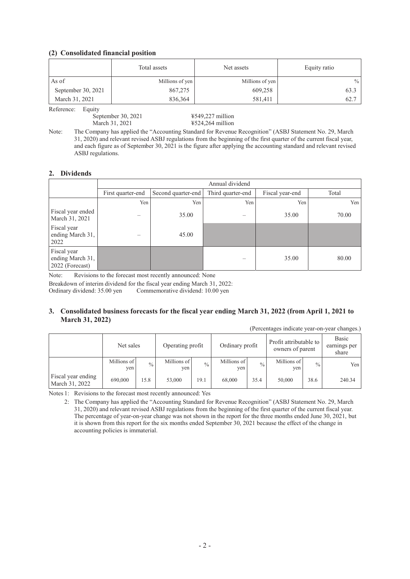#### **(2) Consolidated financial position**

|                      | Total assets    | Net assets      | Equity ratio  |
|----------------------|-----------------|-----------------|---------------|
| As of                | Millions of yen | Millions of yen | $\frac{0}{0}$ |
| September 30, 2021   | 867,275         | 609,258         | 63.3          |
| March 31, 2021       | 836,364         | 581,411         | 62.7          |
| $D - 2 - \cdots - 1$ |                 |                 |               |

Reference: Equity

September 30, 2021 ¥549,227 million

March 31, 2021 **¥524,264 million** 

Note: The Company has applied the "Accounting Standard for Revenue Recognition" (ASBJ Statement No. 29, March 31, 2020) and relevant revised ASBJ regulations from the beginning of the first quarter of the current fiscal year, and each figure as of September 30, 2021 is the figure after applying the accounting standard and relevant revised ASBJ regulations.

#### **2. Dividends**

|                                                    |                   |                    | Annual dividend   |                 |       |
|----------------------------------------------------|-------------------|--------------------|-------------------|-----------------|-------|
|                                                    | First quarter-end | Second quarter-end | Third quarter-end | Fiscal year-end | Total |
|                                                    | Yen               | Yen                | Yen               | Yen             | Yen   |
| Fiscal year ended<br>March 31, 2021                |                   | 35.00              |                   | 35.00           | 70.00 |
| Fiscal year<br>ending March 31,<br>2022            |                   | 45.00              |                   |                 |       |
| Fiscal year<br>ending March 31,<br>2022 (Forecast) |                   |                    |                   | 35.00           | 80.00 |

Note: Revisions to the forecast most recently announced: None

Breakdown of interim dividend for the fiscal year ending March 31, 2022:

Ordinary dividend: 35.00 yen Commemorative dividend: 10.00 yen

#### **3. Consolidated business forecasts for the fiscal year ending March 31, 2022 (from April 1, 2021 to March 31, 2022)**

| (Percentages indicate year-on-year changes.) |                    |               |                    |               |                    |               |                                            |               |                                |
|----------------------------------------------|--------------------|---------------|--------------------|---------------|--------------------|---------------|--------------------------------------------|---------------|--------------------------------|
|                                              | Net sales          |               | Operating profit   |               | Ordinary profit    |               | Profit attributable to<br>owners of parent |               | Basic<br>earnings per<br>share |
|                                              | Millions of<br>yen | $\frac{0}{0}$ | Millions of<br>yen | $\frac{0}{0}$ | Millions of<br>yen | $\frac{0}{0}$ | Millions of<br>yen                         | $\frac{0}{0}$ | Yen                            |
| Fiscal year ending<br>March 31, 2022         | 690,000            | 15.8          | 53,000             | 19.1          | 68,000             | 35.4          | 50,000                                     | 38.6          | 240.34                         |

Notes 1: Revisions to the forecast most recently announced: Yes

2: The Company has applied the "Accounting Standard for Revenue Recognition" (ASBJ Statement No. 29, March 31, 2020) and relevant revised ASBJ regulations from the beginning of the first quarter of the current fiscal year. The percentage of year-on-year change was not shown in the report for the three months ended June 30, 2021, but it is shown from this report for the six months ended September 30, 2021 because the effect of the change in accounting policies is immaterial.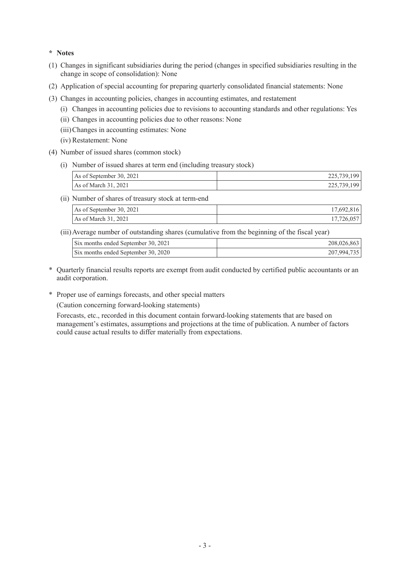### **\* Notes**

- (1) Changes in significant subsidiaries during the period (changes in specified subsidiaries resulting in the change in scope of consolidation): None
- (2) Application of special accounting for preparing quarterly consolidated financial statements: None
- (3) Changes in accounting policies, changes in accounting estimates, and restatement
	- (i) Changes in accounting policies due to revisions to accounting standards and other regulations: Yes
	- (ii) Changes in accounting policies due to other reasons: None
	- (iii)Changes in accounting estimates: None
	- (iv) Restatement: None
- (4) Number of issued shares (common stock)
	- (i) Number of issued shares at term end (including treasury stock)

| As of September 30, 2021 | 225,739,199 |
|--------------------------|-------------|
| As of March 31, 2021     | 225,739,199 |

(ii) Number of shares of treasury stock at term-end

| As of September 30, 2021 | 17,692,816 |
|--------------------------|------------|
| As of March $31, 2021$   | 17,726,057 |

(iii)Average number of outstanding shares (cumulative from the beginning of the fiscal year)

| Six months ended September 30, 2021 | 208,026,863 |
|-------------------------------------|-------------|
| Six months ended September 30, 2020 | 207,994,735 |

- \* Quarterly financial results reports are exempt from audit conducted by certified public accountants or an audit corporation.
- \* Proper use of earnings forecasts, and other special matters

(Caution concerning forward-looking statements)

Forecasts, etc., recorded in this document contain forward-looking statements that are based on management's estimates, assumptions and projections at the time of publication. A number of factors could cause actual results to differ materially from expectations.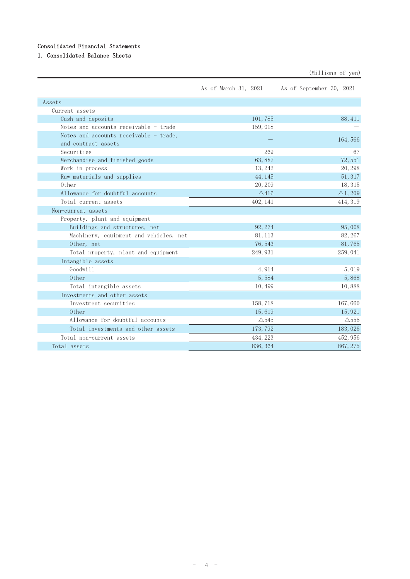### Consolidated Financial Statements

## 1. Consolidated Balance Sheets

|                                        | As of March 31, 2021 | As of September 30, 2021 |
|----------------------------------------|----------------------|--------------------------|
| Assets                                 |                      |                          |
| Current assets                         |                      |                          |
| Cash and deposits                      | 101,785              | 88, 411                  |
| Notes and accounts receivable - trade  | 159,018              |                          |
| Notes and accounts receivable - trade, |                      | 164,566                  |
| and contract assets                    |                      |                          |
| Securities                             | 269                  | 67                       |
| Merchandise and finished goods         | 63,887               | 72,551                   |
| Work in process                        | 13, 242              | 20, 298                  |
| Raw materials and supplies             | 44, 145              | 51, 317                  |
| 0ther                                  | 20, 209              | 18, 315                  |
| Allowance for doubtful accounts        | $\triangle$ 416      | $\triangle$ 1, 209       |
| Total current assets                   | 402, 141             | 414, 319                 |
| Non-current assets                     |                      |                          |
| Property, plant and equipment          |                      |                          |
| Buildings and structures, net          | 92, 274              | 95,008                   |
| Machinery, equipment and vehicles, net | 81, 113              | 82, 267                  |
| Other, net                             | 76, 543              | 81,765                   |
| Total property, plant and equipment    | 249, 931             | 259, 041                 |
| Intangible assets                      |                      |                          |
| Goodwill                               | 4,914                | 5,019                    |
| Other                                  | 5,584                | 5,868                    |
| Total intangible assets                | 10,499               | 10,888                   |
| Investments and other assets           |                      |                          |
| Investment securities                  | 158,718              | 167,660                  |
| 0ther                                  | 15,619               | 15,921                   |
| Allowance for doubtful accounts        | $\triangle$ 545      | $\triangle$ 555          |
| Total investments and other assets     | 173, 792             | 183,026                  |
| Total non-current assets               | 434, 223             | 452, 956                 |
| Total assets                           | 836, 364             | 867, 275                 |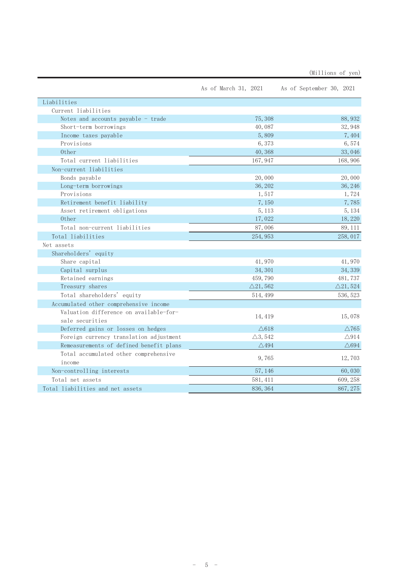|  | (Millions of yen) |  |
|--|-------------------|--|
|--|-------------------|--|

|                                         | As of March 31, 2021 | As of September 30, 2021 |
|-----------------------------------------|----------------------|--------------------------|
| Liabilities                             |                      |                          |
| Current liabilities                     |                      |                          |
| Notes and accounts payable - trade      | 75,308               | 88, 932                  |
| Short-term borrowings                   | 40,087               | 32, 948                  |
| Income taxes payable                    | 5,809                | 7,404                    |
| Provisions                              | 6,373                | 6,574                    |
| 0ther                                   | 40,368               | 33,046                   |
| Total current liabilities               | 167, 947             | 168,906                  |
| Non-current liabilities                 |                      |                          |
| Bonds payable                           | 20,000               | 20,000                   |
| Long-term borrowings                    | 36, 202              | 36, 246                  |
| Provisions                              | 1,517                | 1,724                    |
| Retirement benefit liability            | 7,150                | 7,785                    |
| Asset retirement obligations            | 5, 113               | 5, 134                   |
| Other                                   | 17,022               | 18,220                   |
| Total non-current liabilities           | 87,006               | 89, 111                  |
| Total liabilities                       | 254, 953             | 258, 017                 |
| Net assets                              |                      |                          |
| Shareholders' equity                    |                      |                          |
| Share capital                           | 41,970               | 41,970                   |
| Capital surplus                         | 34, 301              | 34, 339                  |
| Retained earnings                       | 459,790              | 481,737                  |
| Treasury shares                         | $\triangle$ 21,562   | $\triangle$ 21, 524      |
| Total shareholders' equity              | 514, 499             | 536, 523                 |
| Accumulated other comprehensive income  |                      |                          |
| Valuation difference on available-for-  |                      |                          |
| sale securities                         | 14, 419              | 15,078                   |
| Deferred gains or losses on hedges      | $\triangle$ 618      | $\triangle$ 765          |
| Foreign currency translation adjustment | $\triangle$ 3, 542   | $\triangle$ 914          |
| Remeasurements of defined benefit plans | $\triangle$ 494      | $\triangle694$           |
| Total accumulated other comprehensive   |                      |                          |
| income                                  | 9,765                | 12,703                   |
| Non-controlling interests               | 57, 146              | 60,030                   |
| Total net assets                        | 581, 411             | 609, 258                 |
| Total liabilities and net assets        | 836, 364             | 867, 275                 |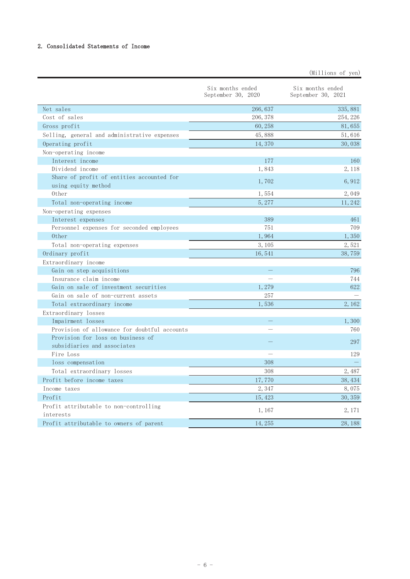### 2. Consolidated Statements of Income

|                                                     | Six months ended<br>September 30, 2020 | Six months ended<br>September 30, 2021 |
|-----------------------------------------------------|----------------------------------------|----------------------------------------|
| Net sales                                           | 266, 637                               | 335, 881                               |
| Cost of sales                                       | 206, 378                               | 254, 226                               |
| Gross profit                                        | 60, 258                                | 81,655                                 |
| Selling, general and administrative expenses        | 45,888                                 | 51,616                                 |
| Operating profit                                    | 14,370                                 | 30,038                                 |
| Non-operating income                                |                                        |                                        |
| Interest income                                     | 177                                    | 160                                    |
| Dividend income                                     | 1,843                                  | 2, 118                                 |
| Share of profit of entities accounted for           |                                        |                                        |
| using equity method                                 | 1,702                                  | 6,912                                  |
| Other                                               | 1,554                                  | 2,049                                  |
| Total non-operating income                          | 5,277                                  | 11, 242                                |
| Non-operating expenses                              |                                        |                                        |
| Interest expenses                                   | 389                                    | 461                                    |
| Personnel expenses for seconded employees           | 751                                    | 709                                    |
| 0ther                                               | 1,964                                  | 1,350                                  |
| Total non-operating expenses                        | 3, 105                                 | 2,521                                  |
| Ordinary profit                                     | 16,541                                 | 38,759                                 |
| Extraordinary income                                |                                        |                                        |
| Gain on step acquisitions                           |                                        | 796                                    |
| Insurance claim income                              |                                        | 744                                    |
| Gain on sale of investment securities               | 1,279                                  | 622                                    |
| Gain on sale of non-current assets                  | 257                                    |                                        |
| Total extraordinary income                          | 1,536                                  | 2,162                                  |
| Extraordinary losses                                |                                        |                                        |
| Impairment losses                                   |                                        | 1,300                                  |
| Provision of allowance for doubtful accounts        |                                        | 760                                    |
| Provision for loss on business of                   |                                        | 297                                    |
| subsidiaries and associates                         |                                        |                                        |
| Fire Loss                                           |                                        | 129                                    |
| loss compensation                                   | 308                                    |                                        |
| Total extraordinary losses                          | 308                                    | 2,487                                  |
| Profit before income taxes                          | 17,770                                 | 38, 434                                |
| Income taxes                                        | 2,347                                  | 8,075                                  |
| Profit                                              | 15, 423                                | 30, 359                                |
| Profit attributable to non-controlling<br>interests | 1, 167                                 | 2, 171                                 |
| Profit attributable to owners of parent             | 14 255                                 | 28 188                                 |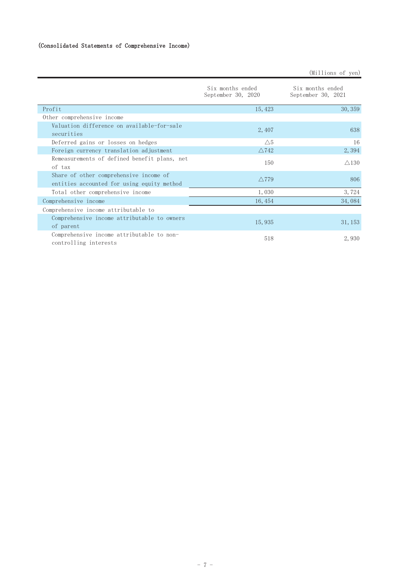|                                                                    | Six months ended<br>September 30, 2020 | Six months ended<br>September 30, 2021 |
|--------------------------------------------------------------------|----------------------------------------|----------------------------------------|
| Profit                                                             | 15, 423                                | 30, 359                                |
| Other comprehensive income                                         |                                        |                                        |
| Valuation difference on available-for-sale                         | 2,407                                  | 638                                    |
| securities                                                         |                                        |                                        |
| Deferred gains or losses on hedges                                 | $\wedge$ 5                             | 16                                     |
| Foreign currency translation adjustment                            | $\triangle$ 742                        | 2,394                                  |
| Remeasurements of defined benefit plans, net                       | 150                                    | $\triangle$ 130                        |
| of tax                                                             |                                        |                                        |
| Share of other comprehensive income of                             | $\wedge$ 779                           | 806                                    |
| entities accounted for using equity method                         |                                        |                                        |
| Total other comprehensive income                                   | 1,030                                  | 3,724                                  |
| Comprehensive income                                               | 16, 454                                | 34,084                                 |
| Comprehensive income attributable to                               |                                        |                                        |
| Comprehensive income attributable to owners                        |                                        |                                        |
| of parent                                                          | 15,935                                 | 31, 153                                |
| Comprehensive income attributable to non-<br>controlling interests | 518                                    | 2,930                                  |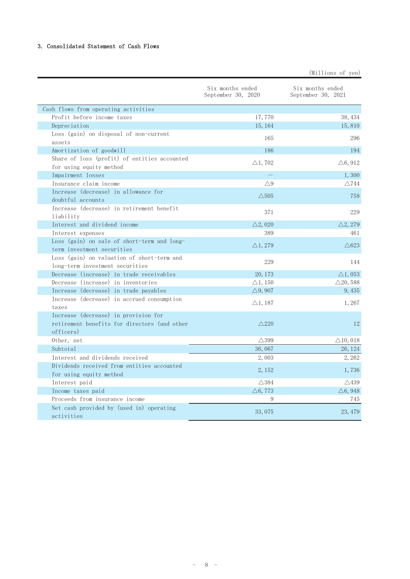#### 3. Consolidated Statement of Cash Flows

|                                              | Six months ended<br>September 30, 2020 | Six months ended<br>September 30, 2021 |
|----------------------------------------------|----------------------------------------|----------------------------------------|
| Cash flows from operating activities         |                                        |                                        |
| Profit before income taxes                   | 17,770                                 | 38, 434                                |
| Depreciation                                 | 15, 164                                | 15,810                                 |
| Loss (gain) on disposal of non-current       | 165                                    | 296                                    |
| assets                                       |                                        |                                        |
| Amortization of goodwill                     | 186                                    | 194                                    |
| Share of loss (profit) of entities accounted | $\triangle$ 1,702                      | $\triangle 6,912$                      |
| for using equity method                      |                                        |                                        |
| Impairment losses                            |                                        | 1,300                                  |
| Insurance claim income                       | $\triangle$ 9                          | $\triangle$ 744                        |
| Increase (decrease) in allowance for         | $\triangle$ 505                        | 758                                    |
| doubtful accounts                            |                                        |                                        |
| Increase (decrease) in retirement benefit    | 371                                    | 229                                    |
| liability                                    |                                        |                                        |
| Interest and dividend income                 | $\triangle$ 2, 020                     | $\triangle$ 2, 279                     |
| Interest expenses                            | 389                                    | 461                                    |
| Loss (gain) on sale of short-term and long-  | $\triangle$ 1, 279                     | $\triangle 623$                        |
| term investment securities                   |                                        |                                        |
| Loss (gain) on valuation of short-term and   | 229                                    | 144                                    |
| long-term investment securities              |                                        |                                        |
| Decrease (increase) in trade receivables     | 20, 173                                | $\triangle$ 1, 053                     |
| Decrease (increase) in inventories           | $\triangle$ 1, 150                     | $\triangle$ 20, 588                    |
| Increase (decrease) in trade payables        | $\triangle$ 9, 907                     | 9, 435                                 |
| Increase (decrease) in accrued consumption   | $\triangle$ 1, 187                     | 1,267                                  |
| taxes                                        |                                        |                                        |
| Increase (decrease) in provision for         |                                        |                                        |
| retirement benefits for directors (and other | $\triangle$ 220                        | 12                                     |
| officers)                                    |                                        |                                        |
| Other, net                                   | $\triangle$ 399                        | $\triangle$ 10, 018                    |
| Subtotal                                     | 36,067                                 | 26, 124                                |
| Interest and dividends received              | 2,003                                  | 2,262                                  |
| Dividends received from entities accounted   | 2, 152                                 | 1,736                                  |
| for using equity method                      |                                        |                                        |
| Interest paid                                | $\triangle$ 384                        | $\triangle$ 439                        |
| Income taxes paid                            | $\triangle 6, 773$                     | $\triangle 6,948$                      |
| Proceeds from insurance income               | 9                                      | 745                                    |
| Net cash provided by (used in) operating     | 33,075                                 | 23, 479                                |
| activities                                   |                                        |                                        |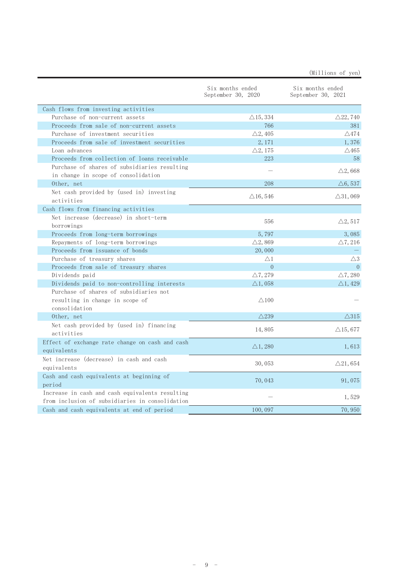|                                                                                                    | Six months ended<br>September 30, 2020 | Six months ended<br>September 30, 2021 |
|----------------------------------------------------------------------------------------------------|----------------------------------------|----------------------------------------|
| Cash flows from investing activities                                                               |                                        |                                        |
| Purchase of non-current assets                                                                     | $\triangle$ 15, 334                    | $\triangle$ 22,740                     |
| Proceeds from sale of non-current assets                                                           | 766                                    | 381                                    |
| Purchase of investment securities                                                                  | $\triangle 2, 405$                     | $\triangle 474$                        |
| Proceeds from sale of investment securities                                                        | 2, 171                                 | 1,376                                  |
| Loan advances                                                                                      | $\triangle 2, 175$                     | $\triangle$ 465                        |
| Proceeds from collection of loans receivable                                                       | 223                                    | 58                                     |
| Purchase of shares of subsidiaries resulting<br>in change in scope of consolidation                |                                        | $\triangle$ 2,668                      |
| Other, net                                                                                         | 208                                    | $\triangle 6,537$                      |
| Net cash provided by (used in) investing<br>activities                                             | $\triangle$ 16, 546                    | $\triangle$ 31,069                     |
| Cash flows from financing activities                                                               |                                        |                                        |
| Net increase (decrease) in short-term<br>borrowings                                                | 556                                    | $\triangle 2, 517$                     |
| Proceeds from long-term borrowings                                                                 | 5,797                                  | 3,085                                  |
| Repayments of long-term borrowings                                                                 | $\triangle$ 2, 869                     | $\triangle 7, 216$                     |
| Proceeds from issuance of bonds                                                                    | 20,000                                 |                                        |
| Purchase of treasury shares                                                                        | $\triangle$ 1                          | $\triangle 3$                          |
| Proceeds from sale of treasury shares                                                              | $\overline{0}$                         | $\Omega$                               |
| Dividends paid                                                                                     | $\triangle$ 7, 279                     | $\triangle$ 7, 280                     |
| Dividends paid to non-controlling interests                                                        | $\triangle$ 1, 058                     | $\triangle$ 1, 429                     |
| Purchase of shares of subsidiaries not<br>resulting in change in scope of<br>consolidation         | $\triangle$ 100                        |                                        |
| Other, net                                                                                         | $\triangle$ 239                        | $\triangle$ 315                        |
| Net cash provided by (used in) financing<br>activities                                             | 14,805                                 | $\triangle$ 15,677                     |
| Effect of exchange rate change on cash and cash<br>equivalents                                     | $\triangle$ 1, 280                     | 1,613                                  |
| Net increase (decrease) in cash and cash<br>equivalents                                            | 30,053                                 | $\triangle$ 21,654                     |
| Cash and cash equivalents at beginning of<br>period                                                | 70,043                                 | 91,075                                 |
| Increase in cash and cash equivalents resulting<br>from inclusion of subsidiaries in consolidation |                                        | 1,529                                  |
| Cash and cash equivalents at end of period                                                         | 100,097                                | 70,950                                 |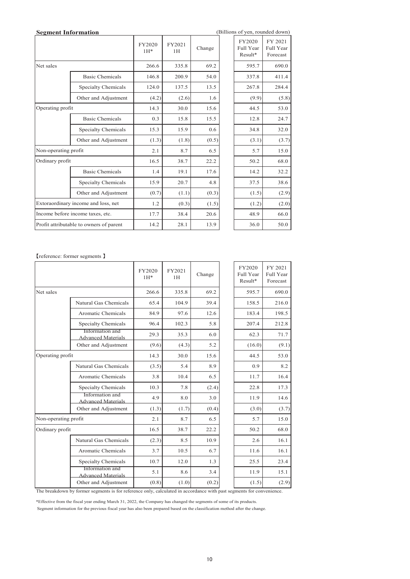|                                     | (Billions of yen, rounded down)<br><b>Segment Information</b> |                 |              |        |  |                                  |                                  |
|-------------------------------------|---------------------------------------------------------------|-----------------|--------------|--------|--|----------------------------------|----------------------------------|
|                                     |                                                               | FY2020<br>$1H*$ | FY2021<br>1H | Change |  | FY2020<br>Full Year<br>$Result*$ | FY 2021<br>Full Year<br>Forecast |
| Net sales                           |                                                               | 266.6           | 335.8        | 69.2   |  | 595.7                            | 690.0                            |
|                                     | <b>Basic Chemicals</b>                                        | 146.8           | 200.9        | 54.0   |  | 337.8                            | 411.4                            |
|                                     | Specialty Chemicals                                           | 124.0           | 137.5        | 13.5   |  | 267.8                            | 284.4                            |
|                                     | Other and Adjustment                                          | (4.2)           | (2.6)        | 1.6    |  | (9.9)                            | (5.8)                            |
| Operating profit                    |                                                               | 14.3            | 30.0         | 15.6   |  | 44.5                             | 53.0                             |
|                                     | <b>Basic Chemicals</b>                                        | 0.3             | 15.8         | 15.5   |  | 12.8                             | 24.7                             |
|                                     | Specialty Chemicals                                           | 15.3            | 15.9         | 0.6    |  | 34.8                             | 32.0                             |
| Other and Adjustment                |                                                               | (1.3)           | (1.8)        | (0.5)  |  | (3.1)                            | (3.7)                            |
| Non-operating profit                |                                                               | 2.1             | 8.7          | 6.5    |  | 5.7                              | 15.0                             |
| Ordinary profit                     |                                                               | 16.5            | 38.7         | 22.2   |  | 50.2                             | 68.0                             |
|                                     | <b>Basic Chemicals</b>                                        | 1.4             | 19.1         | 17.6   |  | 14.2                             | 32.2                             |
|                                     | Specialty Chemicals                                           | 15.9            | 20.7         | 4.8    |  | 37.5                             | 38.6                             |
|                                     | Other and Adjustment                                          | (0.7)           | (1.1)        | (0.3)  |  | (1.5)                            | (2.9)                            |
| Extoraordinary income and loss, net |                                                               | 1.2             | (0.3)        | (1.5)  |  | (1.2)                            | (2.0)                            |
|                                     | Income before income taxes, etc.                              | 17.7            | 38.4         | 20.6   |  | 48.9                             | 66.0                             |
|                                     | Profit attributable to owners of parent                       | 14.2            | 28.1         | 13.9   |  | 36.0                             | 50.0                             |

| FY2020    | FY 2021   |
|-----------|-----------|
| Full Year | Full Year |
| Result*   | Forecast  |
| 595.7     | 690.0     |
| 337.8     | 411.4     |
| 267.8     | 284.4     |
| (9.9)     | (5.8)     |
| 44.5      | 53.0      |
| 12.8      | 24.7      |
| 34.8      | 32.0      |
| (3.1)     | (3.7)     |
| 5.7       | 15.0      |
| 50.2      | 68.0      |
| 14.2      | 32.2      |
| 37.5      | 38.6      |
| (1.5)     | (2.9)     |
| (1.2)     | (2.0)     |
| 48.9      | 66.0      |
| 36.0      | 50.0      |
|           |           |

䛆reference: former segments 䛇

|                      |                                              | FY2020<br>$1H*$ | FY2021<br>1H | Change | FY2020<br>Full Year<br>Result* | FY 2021<br>Full Year<br>Forecast |
|----------------------|----------------------------------------------|-----------------|--------------|--------|--------------------------------|----------------------------------|
| Net sales            |                                              | 266.6           | 335.8        | 69.2   | 595.7                          | 690.0                            |
|                      | Natural Gas Chemicals                        | 65.4            | 104.9        | 39.4   | 158.5                          | 216.0                            |
|                      | Aromatic Chemicals                           | 84.9            | 97.6         | 12.6   | 183.4                          | 198.5                            |
|                      | Specialty Chemicals                          | 96.4            | 102.3        | 5.8    | 207.4                          | 212.8                            |
|                      | Information and<br><b>Advanced Materials</b> | 29.3            | 35.3         | 6.0    | 62.3                           | 71.7                             |
|                      | Other and Adjustment                         | (9.6)           | (4.3)        | 5.2    | (16.0)                         | (9.1)                            |
| Operating profit     |                                              | 14.3            | 30.0         | 15.6   | 44.5                           | 53.0                             |
|                      | Natural Gas Chemicals                        | (3.5)           | 5.4          | 8.9    | 0.9                            | 8.2                              |
|                      | Aromatic Chemicals                           | 3.8             | 10.4         | 6.5    | 11.7                           | 16.4                             |
|                      | Specialty Chemicals                          | 10.3            | 7.8          | (2.4)  | 22.8                           | 17.3                             |
|                      | Information and<br><b>Advanced Materials</b> | 4.9             | 8.0          | 3.0    | 11.9                           | 14.6                             |
|                      | Other and Adjustment                         | (1.3)           | (1.7)        | (0.4)  | (3.0)                          | (3.7)                            |
| Non-operating profit |                                              | 2.1             | 8.7          | 6.5    | 5.7                            | 15.0                             |
| Ordinary profit      |                                              | 16.5            | 38.7         | 22.2   | 50.2                           | 68.0                             |
|                      | Natural Gas Chemicals                        | (2.3)           | 8.5          | 10.9   | 2.6                            | 16.1                             |
|                      | Aromatic Chemicals                           | 3.7             | 10.5         | 6.7    | 11.6                           | 16.1                             |
|                      | Specialty Chemicals                          | 10.7            | 12.0         | 1.3    | 25.5                           | 23.4                             |
|                      | Information and<br><b>Advanced Materials</b> | 5.1             | 8.6          | 3.4    | 11.9                           | 15.1                             |
|                      | Other and Adjustment                         | (0.8)           | (1.0)        | (0.2)  | (1.5)                          | (2.9)                            |
|                      |                                              |                 |              |        |                                |                                  |

The breakdown by former segments is for reference only, calculated in accordance with past segments for convenience.

\*Effective from the fiscal year ending March 31, 2022, the Company has changed the segments of some of its products.

Segment information for the previous fiscal year has also been prepared based on the classification method after the change.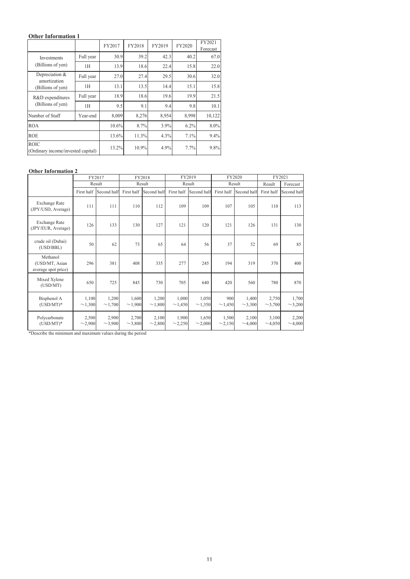## **Other Information 1**

|                                                   |           | FY2017 | FY2018 | FY2019 | FY2020 | FY2021<br>Forecast |
|---------------------------------------------------|-----------|--------|--------|--------|--------|--------------------|
| <b>Investments</b>                                | Full year | 30.9   | 39.2   | 42.3   | 40.2   | 67.0               |
| (Billions of yen)                                 | 1Н        | 13.9   | 18.6   | 22.4   | 15.8   | 22.0               |
| Depreciation &                                    | Full year | 27.0   | 27.4   | 29.5   | 30.6   | 32.0               |
| amortization<br>(Billions of yen)                 | 1H        | 13.1   | 13.5   | 14.4   | 15.1   | 15.8               |
| R&D expenditures                                  | Full year | 18.9   | 18.6   | 19.6   | 19.9   | 21.5               |
| (Billions of yen)                                 | 1H        | 9.5    | 9.1    | 9.4    | 9.8    | 10.1               |
| Number of Staff                                   | Year-end  | 8,009  | 8,276  | 8,954  | 8,998  | 10,122             |
| <b>ROA</b>                                        |           | 10.6%  | 8.7%   | 3.9%   | 6.2%   | 8.0%               |
| <b>ROE</b>                                        |           | 13.6%  | 11.3%  | 4.3%   | 7.1%   | 9.4%               |
| <b>ROIC</b><br>(Ordinary income/invested capital) |           | 13.2%  | 10.9%  | 4.9%   | 7.7%   | 9.8%               |

#### **Other Information 2**

|                                                   |                       | FY2017                |                       | FY2018          |                       | FY2019<br>FY2020      |                       |                       | FY2021                |                       |
|---------------------------------------------------|-----------------------|-----------------------|-----------------------|-----------------|-----------------------|-----------------------|-----------------------|-----------------------|-----------------------|-----------------------|
|                                                   | Result                |                       |                       | Result          |                       | Result                |                       | Result                |                       | Forecast              |
|                                                   | First half            | Second half           | First half            | Second half     | First half            | Second half           | First half            | Second half           | First half            | Second half           |
| Exchange Rate<br>(JPY/USD, Average)               | 111                   | 111                   | 110                   | 112             | 109                   | 109                   | 107                   | 105                   | 110                   | 113                   |
| Exchange Rate<br>(JPY/EUR, Average)               | 126                   | 133                   | 130                   | 127             | 121                   | 120                   | 121                   | 126                   | 131                   | 130                   |
| crude oil (Dubai)<br>(USD/BBL)                    | 50                    | 62                    | 73                    | 65              | 64                    | 56                    | 37                    | 52                    | 69                    | 85                    |
| Methanol<br>(USD/MT, Asian<br>average spot price) | 296                   | 381                   | 408                   | 335             | 277                   | 245                   | 194                   | 319                   | 370                   | 400                   |
| Mixed Xylene<br>(USD/MT)                          | 650                   | 725                   | 845                   | 730             | 705                   | 640                   | 420                   | 560                   | 780                   | 870                   |
| Bisphenol A<br>$(USD/MT)^*$                       | 1,100<br>$\sim$ 1,300 | 1,200<br>$\sim$ 1,700 | 1,600<br>$\sim$ 1,900 | 1,200<br>~1,800 | 1,000<br>$\sim$ 1,450 | 1,050<br>$\sim$ 1,350 | 900<br>$\sim$ 1,450   | 1,400<br>$\sim$ 3,300 | 2,750<br>$\sim$ 3,700 | 1,700<br>$\sim$ 3,200 |
| Polycarbonate<br>$(USD/MT)^*$                     | 2,500<br>$\sim$ 2,900 | 2,900<br>$\sim$ 3,900 | 2,700<br>$\sim$ 3,800 | 2,100<br>~2,800 | 1,900<br>$\sim$ 2,250 | 1,650<br>$\sim$ 2,000 | 1,500<br>$\sim$ 2,150 | 2,100<br>$\sim$ 4,000 | 3,100<br>$\sim$ 4,050 | 2,200<br>$\sim$ 4,000 |

\*Describe the minimum and maximum values during the period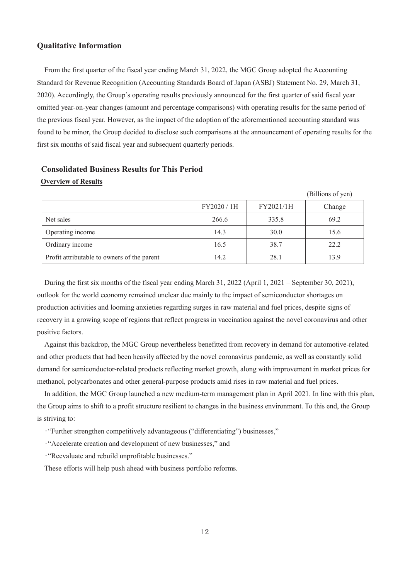#### **Qualitative Information**

From the first quarter of the fiscal year ending March 31, 2022, the MGC Group adopted the Accounting Standard for Revenue Recognition (Accounting Standards Board of Japan (ASBJ) Statement No. 29, March 31, 2020). Accordingly, the Group's operating results previously announced for the first quarter of said fiscal year omitted year-on-year changes (amount and percentage comparisons) with operating results for the same period of the previous fiscal year. However, as the impact of the adoption of the aforementioned accounting standard was found to be minor, the Group decided to disclose such comparisons at the announcement of operating results for the first six months of said fiscal year and subsequent quarterly periods.

## **Consolidated Business Results for This Period Overview of Results**

|                                             |             |           | (Billions of yen) |
|---------------------------------------------|-------------|-----------|-------------------|
|                                             | FY2020 / 1H | FY2021/1H | Change            |
| Net sales                                   | 266.6       | 335.8     | 69.2              |
| Operating income                            | 14.3        | 30.0      | 15.6              |
| Ordinary income                             | 16.5        | 38.7      | 22.2              |
| Profit attributable to owners of the parent | 14.2        | 28.1      | 13.9              |

During the first six months of the fiscal year ending March 31, 2022 (April 1, 2021 – September 30, 2021), outlook for the world economy remained unclear due mainly to the impact of semiconductor shortages on production activities and looming anxieties regarding surges in raw material and fuel prices, despite signs of recovery in a growing scope of regions that reflect progress in vaccination against the novel coronavirus and other positive factors.

Against this backdrop, the MGC Group nevertheless benefitted from recovery in demand for automotive-related and other products that had been heavily affected by the novel coronavirus pandemic, as well as constantly solid demand for semiconductor-related products reflecting market growth, along with improvement in market prices for methanol, polycarbonates and other general-purpose products amid rises in raw material and fuel prices.

In addition, the MGC Group launched a new medium-term management plan in April 2021. In line with this plan, the Group aims to shift to a profit structure resilient to changes in the business environment. To this end, the Group is striving to:

͌"Further strengthen competitively advantageous ("differentiating") businesses,"

͌"Accelerate creation and development of new businesses," and

͌"Reevaluate and rebuild unprofitable businesses."

These efforts will help push ahead with business portfolio reforms.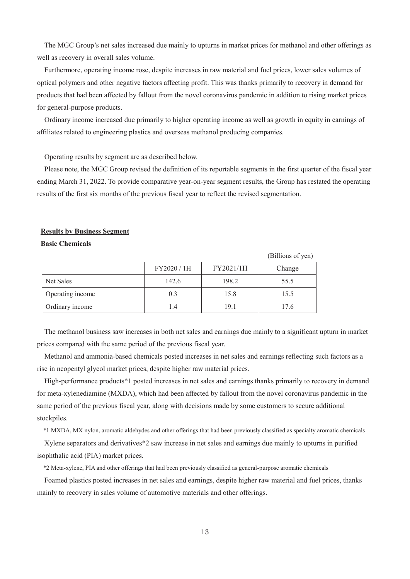The MGC Group's net sales increased due mainly to upturns in market prices for methanol and other offerings as well as recovery in overall sales volume.

Furthermore, operating income rose, despite increases in raw material and fuel prices, lower sales volumes of optical polymers and other negative factors affecting profit. This was thanks primarily to recovery in demand for products that had been affected by fallout from the novel coronavirus pandemic in addition to rising market prices for general-purpose products.

Ordinary income increased due primarily to higher operating income as well as growth in equity in earnings of affiliates related to engineering plastics and overseas methanol producing companies.

Operating results by segment are as described below.

Please note, the MGC Group revised the definition of its reportable segments in the first quarter of the fiscal year ending March 31, 2022. To provide comparative year-on-year segment results, the Group has restated the operating results of the first six months of the previous fiscal year to reflect the revised segmentation.

 $(6.9)$ 

#### **Results by Business Segment**

#### **Basic Chemicals**

|                  |             |           | (Billions of yen) |
|------------------|-------------|-----------|-------------------|
|                  | FY2020 / 1H | FY2021/1H | Change            |
| Net Sales        | 142.6       | 198.2     | 55.5              |
| Operating income | 0.3         | 15.8      | 15.5              |
| Ordinary income  |             | 19.1      | 17.6              |

The methanol business saw increases in both net sales and earnings due mainly to a significant upturn in market prices compared with the same period of the previous fiscal year.

Methanol and ammonia-based chemicals posted increases in net sales and earnings reflecting such factors as a rise in neopentyl glycol market prices, despite higher raw material prices.

High-performance products\*1 posted increases in net sales and earnings thanks primarily to recovery in demand for meta-xylenediamine (MXDA), which had been affected by fallout from the novel coronavirus pandemic in the same period of the previous fiscal year, along with decisions made by some customers to secure additional stockpiles.

\*1 MXDA, MX nylon, aromatic aldehydes and other offerings that had been previously classified as specialty aromatic chemicals

Xylene separators and derivatives\*2 saw increase in net sales and earnings due mainly to upturns in purified isophthalic acid (PIA) market prices.

\*2 Meta-xylene, PIA and other offerings that had been previously classified as general-purpose aromatic chemicals

Foamed plastics posted increases in net sales and earnings, despite higher raw material and fuel prices, thanks mainly to recovery in sales volume of automotive materials and other offerings.